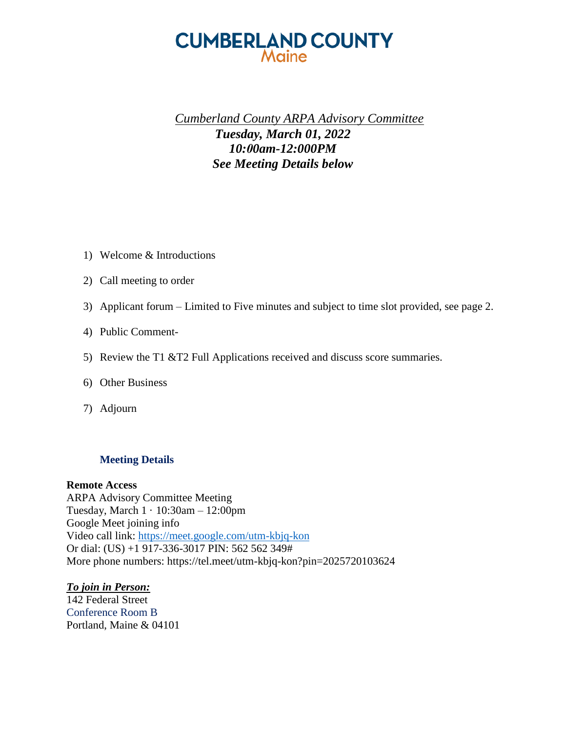### **CUMBERLAND COUNTY** Maine

### *Cumberland County ARPA Advisory Committee Tuesday, March 01, 2022 10:00am-12:000PM See Meeting Details below*

- 1) Welcome & Introductions
- 2) Call meeting to order
- 3) Applicant forum Limited to Five minutes and subject to time slot provided, see page 2.
- 4) Public Comment-
- 5) Review the T1 &T2 Full Applications received and discuss score summaries.
- 6) Other Business
- 7) Adjourn

#### **Meeting Details**

#### **Remote Access**

ARPA Advisory Committee Meeting Tuesday, March 1 · 10:30am – 12:00pm Google Meet joining info Video call link:<https://meet.google.com/utm-kbjq-kon> Or dial: (US) +1 917-336-3017 PIN: 562 562 349# More phone numbers: https://tel.meet/utm-kbjq-kon?pin=2025720103624

#### *To join in Person:*

142 Federal Street Conference Room B Portland, Maine & 04101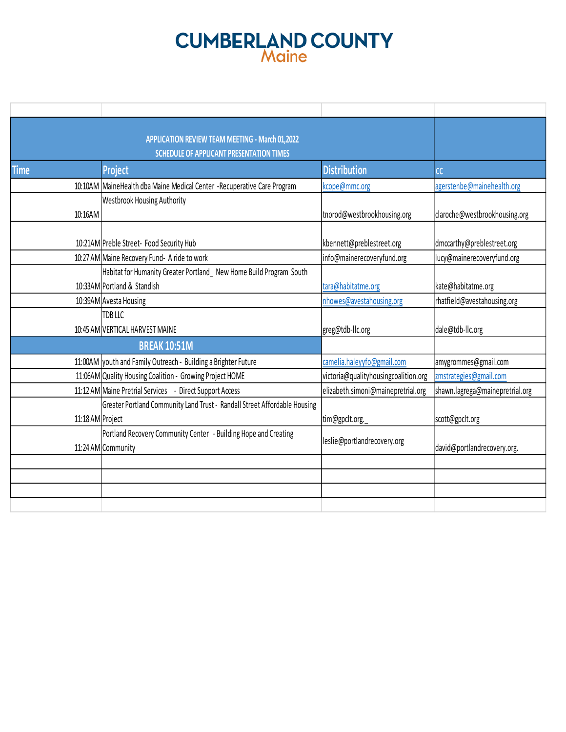# **CUMBERLAND COUNTY**

|                  | APPLICATION REVIEW TEAM MEETING - March 01,2022                           |                                      |                                 |
|------------------|---------------------------------------------------------------------------|--------------------------------------|---------------------------------|
|                  | <b>SCHEDULE OF APPLICANT PRESENTATION TIMES</b>                           |                                      |                                 |
| <b>Time</b>      | <b>Project</b>                                                            | <b>Distribution</b>                  | cc                              |
|                  | 10:10AM MaineHealth dba Maine Medical Center -Recuperative Care Program   | kcope@mmc.org                        | agerstenbe@mainehealth.org      |
|                  | <b>Westbrook Housing Authority</b>                                        |                                      |                                 |
| 10:16AM          |                                                                           | tnorod@westbrookhousing.org          | claroche@westbrookhousing.org   |
|                  |                                                                           |                                      |                                 |
|                  | 10:21AM Preble Street- Food Security Hub                                  | kbennett@preblestreet.org            | dmccarthy@preblestreet.org      |
|                  | 10:27 AM Maine Recovery Fund- A ride to work                              | info@mainerecoveryfund.org           | lucy@mainerecoveryfund.org      |
|                  | Habitat for Humanity Greater Portland New Home Build Program South        |                                      |                                 |
|                  | 10:33AM Portland & Standish                                               | tara@habitatme.org                   | kate@habitatme.org              |
|                  | 10:39AM Avesta Housing                                                    | nhowes@avestahousing.org             | rhatfield@avestahousing.org     |
|                  | TDB LLC                                                                   |                                      |                                 |
|                  | 10:45 AM VERTICAL HARVEST MAINE                                           | greg@tdb-llc.org                     | dale@tdb-llc.org                |
|                  | <b>BREAK 10:51M</b>                                                       |                                      |                                 |
|                  | 11:00AM vouth and Family Outreach - Building a Brighter Future            | camelia.haleyyfo@gmail.com           | amygrommes@gmail.com            |
|                  | 11:06AM Quality Housing Coalition - Growing Project HOME                  | victoria@qualityhousingcoalition.org | zmstrategies@gmail.com          |
|                  | 11:12 AM Maine Pretrial Services - Direct Support Access                  | elizabeth.simoni@mainepretrial.org   | shawn.lagrega@mainepretrial.org |
|                  | Greater Portland Community Land Trust - Randall Street Affordable Housing |                                      |                                 |
| 11:18 AM Project |                                                                           | tim@gpclt.org.                       | scott@gpclt.org                 |
|                  | Portland Recovery Community Center - Building Hope and Creating           | leslie@portlandrecovery.org          |                                 |
|                  | 11:24 AM Community                                                        |                                      | david@portlandrecovery.org.     |
|                  |                                                                           |                                      |                                 |
|                  |                                                                           |                                      |                                 |
|                  |                                                                           |                                      |                                 |
|                  |                                                                           |                                      |                                 |